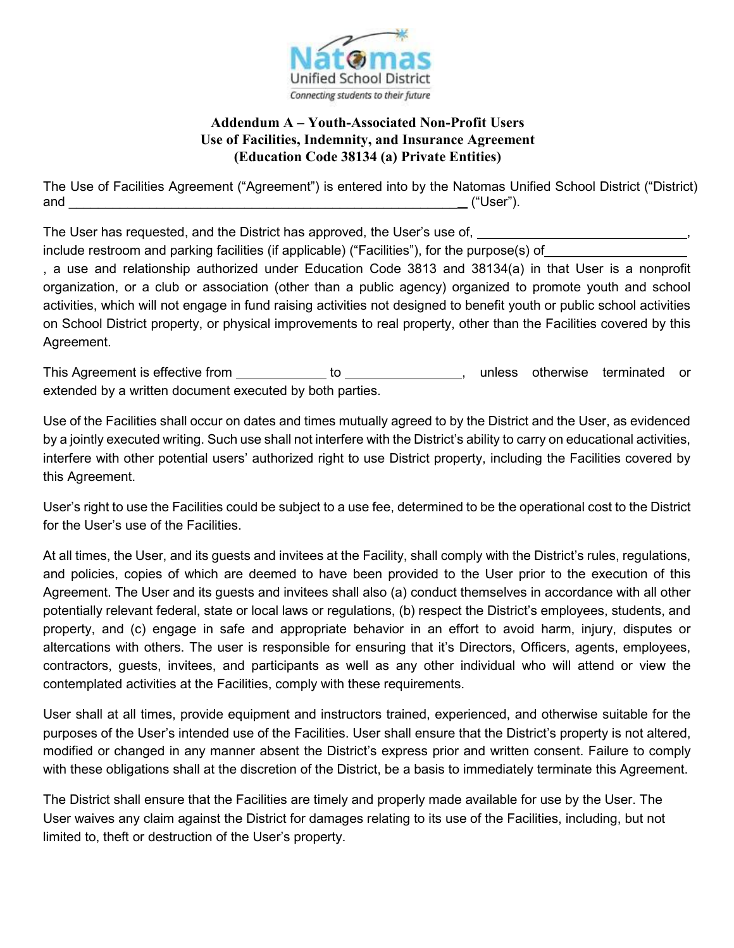

## **Addendum A – Youth-Associated Non-Profit Users Use of Facilities, Indemnity, and Insurance Agreement (Education Code 38134 (a) Private Entities)**

The Use of Facilities Agreement ("Agreement") is entered into by the Natomas Unified School District ("District) and  $($  "User").

The User has requested, and the District has approved, the User's use of,

include restroom and parking facilities (if applicable) ("Facilities"), for the purpose(s) of

, a use and relationship authorized under Education Code 3813 and 38134(a) in that User is a nonprofit organization, or a club or association (other than a public agency) organized to promote youth and school activities, which will not engage in fund raising activities not designed to benefit youth or public school activities on School District property, or physical improvements to real property, other than the Facilities covered by this Agreement.

This Agreement is effective from \_\_\_\_\_\_\_\_\_\_\_\_\_ to \_\_\_\_\_\_\_\_\_\_\_\_\_\_\_\_, unless otherwise terminated or extended by a written document executed by both parties.

Use of the Facilities shall occur on dates and times mutually agreed to by the District and the User, as evidenced by a jointly executed writing. Such use shall not interfere with the District's ability to carry on educational activities, interfere with other potential users' authorized right to use District property, including the Facilities covered by this Agreement.

User's right to use the Facilities could be subject to a use fee, determined to be the operational cost to the District for the User's use of the Facilities.

At all times, the User, and its guests and invitees at the Facility, shall comply with the District's rules, regulations, and policies, copies of which are deemed to have been provided to the User prior to the execution of this Agreement. The User and its guests and invitees shall also (a) conduct themselves in accordance with all other potentially relevant federal, state or local laws or regulations, (b) respect the District's employees, students, and property, and (c) engage in safe and appropriate behavior in an effort to avoid harm, injury, disputes or altercations with others. The user is responsible for ensuring that it's Directors, Officers, agents, employees, contractors, guests, invitees, and participants as well as any other individual who will attend or view the contemplated activities at the Facilities, comply with these requirements.

User shall at all times, provide equipment and instructors trained, experienced, and otherwise suitable for the purposes of the User's intended use of the Facilities. User shall ensure that the District's property is not altered, modified or changed in any manner absent the District's express prior and written consent. Failure to comply with these obligations shall at the discretion of the District, be a basis to immediately terminate this Agreement.

The District shall ensure that the Facilities are timely and properly made available for use by the User. The User waives any claim against the District for damages relating to its use of the Facilities, including, but not limited to, theft or destruction of the User's property.